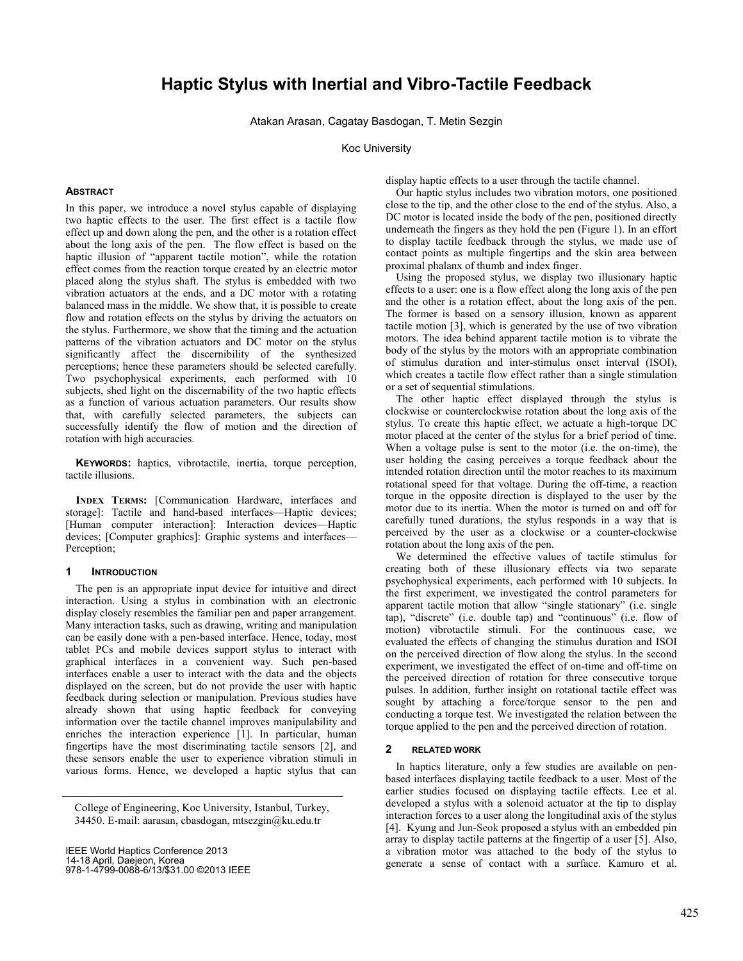# **Haptic Stylus with Inertial and Vibro-Tactile Feedback**

Atakan Arasan, Cagatay Basdogan, T. Metin Sezgin

Koc University

### **ABSTRACT**

In this paper, we introduce a novel stylus capable of displaying two haptic effects to the user. The first effect is a tactile flow effect up and down along the pen, and the other is a rotation effect about the long axis of the pen. The flow effect is based on the haptic illusion of "apparent tactile motion", while the rotation effect comes from the reaction torque created by an electric motor placed along the stylus shaft. The stylus is embedded with two vibration actuators at the ends, and a DC motor with a rotating balanced mass in the middle. We show that, it is possible to create flow and rotation effects on the stylus b y driving the actuators on the stylus. Furthermore, we show that the timing and the actuation patterns of the vibration actuators and DC motor on the stylus significantly affect the discernibility of the synthesized perceptions; hence these parameters should be selected carefully. Two psychophysical experiments, each performed with 10 subjects, shed light on the discernability of the two haptic effects as a function of various actuation parameters. Our results show that, with carefully selected parameters, the subjects can successfully identify the flow of motion and the direction of rotation with high accuracies.

**KEYWORDS:** haptics, vibrotactile, inertia, torque perception, tactile illusions.

**INDEX TERMS :** [Communication Hardware, interfaces and storage]: Tactile and hand -based interfaces —Haptic devices; [Human computer interaction]: Interaction devices —Haptic devices; [Computer graphics]: Graphic systems and interfaces — Perception ;

# **1 INTRODUCTION**

The pen is an appropriate input device for intuitive and direct interaction. Using a stylus in combination with an electronic display closely resembles the familiar pen and paper arrangement. Many interaction tasks, such as drawing, writing and manipulation can be easily done with a pen -based interface. Hence, today, most tablet PCs and mobile devices support stylus to interact with graphical interfaces in a convenient way. Such pen -based interfaces enable a user to interact with the data and the objects displayed on the screen, but do not provide the user with haptic feedback during selection or manipulation. Previous studies have already shown that using haptic feedback for conveying information over the tactile channel improves manipulability and enriches the interaction experience [ 1]. In particular, human fingertips have the most discriminating tactile sensors [ 2 ] , and these sensors enable the user to experience vibration stimuli in various forms. Hence, we developed a haptic stylus that can

display haptic effects to a user through the tactile channel .

Our haptic stylus includes two vibration motors, one positioned close to the tip , and the other close to the end of the stylus. Also, a DC motor is located inside the body of the pen, positioned directly underneath the fingers as they hold the pen (Figure 1). In an effort to display tactile feedback through the stylus, we made use of contact points as multiple fingertips and the skin area between proximal phalanx of thumb and index finger.

Using the proposed stylus, we display two illusionary haptic effects to a user: one is a flow effect along the long axis of the pen and the other is a rotation effect, about the long axis of the pen. The former is based on a sensory illusion, known as apparent tactile motion [ 3], which is generated by the use of two vibration motors. The idea behind apparent tactile motion is to vibrate the body of the stylus by the motors with an appropriate combination of stimulus duration and inter -stimulus onset interval (ISOI), which creates a tactile flow effect rather than a single stimulation or a set of sequential stimulations.

The other haptic effect displayed through the stylus is clockwise or counterclockwise rotation about the long axis of the stylus. To create this haptic effect, we actuate a high -torque DC motor placed at the center of the stylus for a brief period of time. When a voltage pulse is sent to the motor (i.e. the on -time), the user holding the casing perceives a torque feedback about the intended rotation direction until the motor reaches to its maximum rotational speed for that voltage. During the off-time, a reaction torque in the opposite direction is displayed to the user by the motor due to its inertia. When the motor is turned on and off for carefully tuned durations, the stylus responds in a way that is perceived by the user as a clockwise or a counter -clockwise rotation about the long axis of the pen.

We determined the effective values of tactile stimulus for creating both of these illusionary effects via two separate psychophysical experiments , each performed with 10 subjects. In the first experiment, we investigate d the control parameters for apparent tactile motion that allow "single stationary" (i.e. single tap), "discrete" (i.e. double tap) and "continuous" (i.e. flow of motion) vibrotactile stimuli. For the continuous case, we evaluate d the effects of changing the stimulus duration and ISOI on the perceived direction of flow along the stylus. In the second experiment, we investigate d the effect of on -time and off-time on the perceived direction of rotation for three consecutive torque pulses. In addition, further insight on rotational tactile effect was sought by attaching a force/torque sensor to the pen and conducting a torque test. We investigated the relation between the torque applied to the pen and the perceived direction of rotation.

#### **2 RELATED WORK**

In haptics literature, only a few studies are available on pen based interfaces displaying tactile feedback to a user. Most of the earlier studies focused on displaying tactile effects. Lee et al. developed a stylus with a solenoid actuator at the tip to display<br>interaction forces to a user along the longitudinal axis of the stylus [4]. Kyung and Jun-Seok proposed a stylus with an embedded pin array to display tactile patterns at the fingertip of a user [ 5]. Also, a vibration motor was attached to the body of the stylus to generate a sense of contact with a surface. Kamuro et al.

College of Engineering, Koc University, Istanbul, Turkey, 34450. E -mail: aarasan, cbasdogan, mtsezgin@ku.edu.tr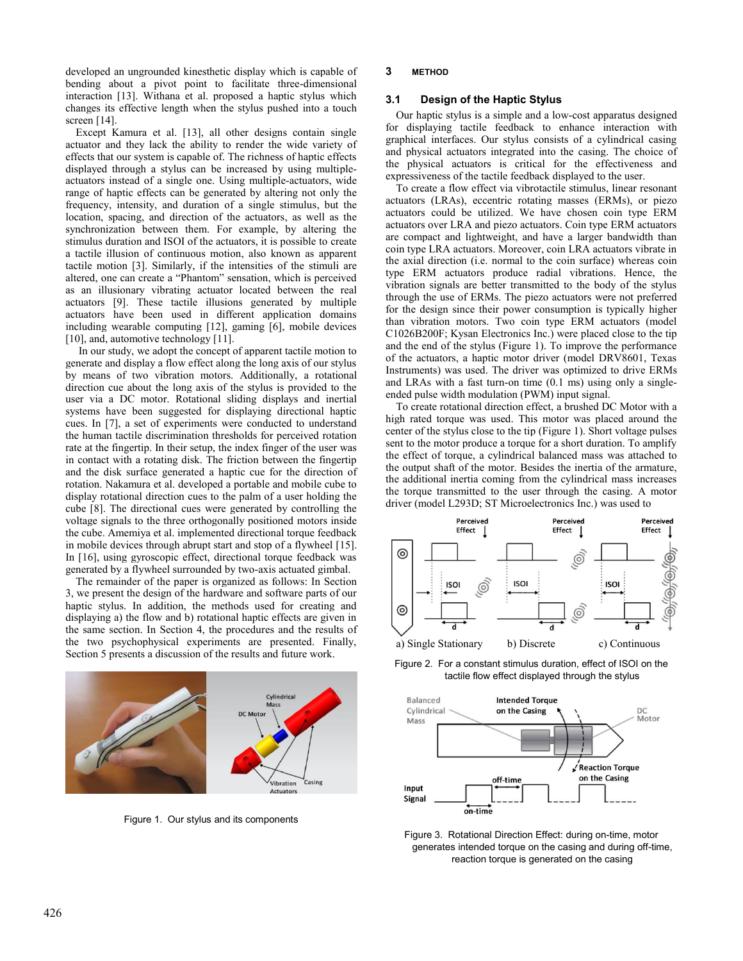developed an ungrounded kinesthetic display which is capable of bending about a pivot point to facilitate three-dimensional interaction [13]. Withana et al. proposed a haptic stylus which changes its effective length when the stylus pushed into a touch screen [14].

Except Kamura et al. [13], all other designs contain single actuator and they lack the ability to render the wide variety of effects that our system is capable of. The richness of haptic effects displayed through a stylus can be increased by using multipleactuators instead of a single one. Using multiple-actuators, wide range of haptic effects can be generated by altering not only the frequency, intensity, and duration of a single stimulus, but the location, spacing, and direction of the actuators, as well as the synchronization between them. For example, by altering the stimulus duration and ISOI of the actuators, it is possible to create a tactile illusion of continuous motion, also known as apparent tactile motion [3]. Similarly, if the intensities of the stimuli are altered, one can create a "Phantom" sensation, which is perceived as an illusionary vibrating actuator located between the real actuators [9]. These tactile illusions generated by multiple actuators have been used in different application domains including wearable computing [12], gaming [6], mobile devices [10], and, automotive technology [11].

In our study, we adopt the concept of apparent tactile motion to generate and display a flow effect along the long axis of our stylus by means of two vibration motors. Additionally, a rotational direction cue about the long axis of the stylus is provided to the user via a DC motor. Rotational sliding displays and inertial systems have been suggested for displaying directional haptic cues. In [7], a set of experiments were conducted to understand the human tactile discrimination thresholds for perceived rotation rate at the fingertip. In their setup, the index finger of the user was in contact with a rotating disk. The friction between the fingertip and the disk surface generated a haptic cue for the direction of rotation. Nakamura et al. developed a portable and mobile cube to display rotational direction cues to the palm of a user holding the cube [8]. The directional cues were generated by controlling the voltage signals to the three orthogonally positioned motors inside the cube. Amemiya et al. implemented directional torque feedback in mobile devices through abrupt start and stop of a flywheel [15]. In [16], using gyroscopic effect, directional torque feedback was generated by a flywheel surrounded by two-axis actuated gimbal.

The remainder of the paper is organized as follows: In Section 3, we present the design of the hardware and software parts of our haptic stylus. In addition, the methods used for creating and displaying a) the flow and b) rotational haptic effects are given in the same section. In Section 4, the procedures and the results of the two psychophysical experiments are presented. Finally, Section 5 presents a discussion of the results and future work.



Figure 1. Our stylus and its components

### **3 METHOD**

### **3.1 Design of the Haptic Stylus**

Our haptic stylus is a simple and a low-cost apparatus designed for displaying tactile feedback to enhance interaction with graphical interfaces. Our stylus consists of a cylindrical casing and physical actuators integrated into the casing. The choice of the physical actuators is critical for the effectiveness and expressiveness of the tactile feedback displayed to the user.

To create a flow effect via vibrotactile stimulus, linear resonant actuators (LRAs), eccentric rotating masses (ERMs), or piezo actuators could be utilized. We have chosen coin type ERM actuators over LRA and piezo actuators. Coin type ERM actuators are compact and lightweight, and have a larger bandwidth than coin type LRA actuators. Moreover, coin LRA actuators vibrate in the axial direction (i.e. normal to the coin surface) whereas coin type ERM actuators produce radial vibrations. Hence, the vibration signals are better transmitted to the body of the stylus through the use of ERMs. The piezo actuators were not preferred for the design since their power consumption is typically higher than vibration motors. Two coin type ERM actuators (model C1026B200F; Kysan Electronics Inc.) were placed close to the tip and the end of the stylus (Figure 1). To improve the performance of the actuators, a haptic motor driver (model DRV8601, Texas Instruments) was used. The driver was optimized to drive ERMs and LRAs with a fast turn-on time (0.1 ms) using only a singleended pulse width modulation (PWM) input signal.

To create rotational direction effect, a brushed DC Motor with a high rated torque was used. This motor was placed around the center of the stylus close to the tip (Figure 1). Short voltage pulses sent to the motor produce a torque for a short duration. To amplify the effect of torque, a cylindrical balanced mass was attached to the output shaft of the motor. Besides the inertia of the armature, the additional inertia coming from the cylindrical mass increases the torque transmitted to the user through the casing. A motor driver (model L293D; ST Microelectronics Inc.) was used to



Figure 2. For a constant stimulus duration, effect of ISOI on the tactile flow effect displayed through the stylus



Figure 3. Rotational Direction Effect: during on-time, motor generates intended torque on the casing and during off-time, reaction torque is generated on the casing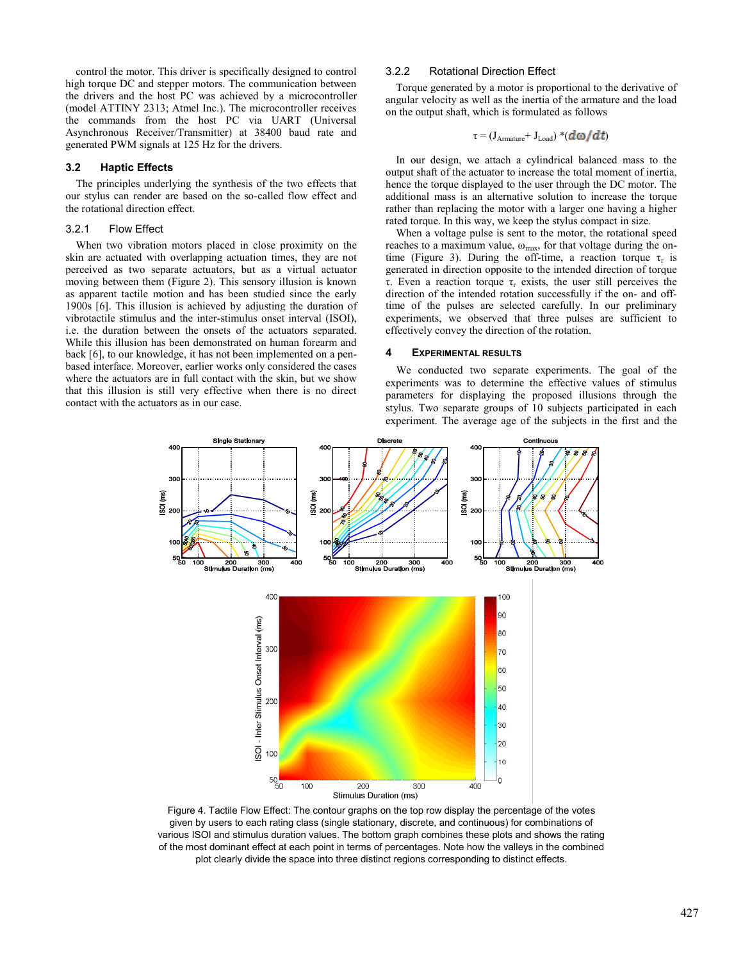control the motor. This driver is specifically designed to control high torque DC and stepper motors. The communication between the drivers and the host PC was achieved by a microcontroller (model ATTINY 2313; Atmel Inc.). The microcontroller receives the commands from the host PC via UART (Universal Asynchronous Receiver/Transmitter) at 38400 baud rate and generated PWM signals at 125 Hz for the drivers.

# **3.2 Haptic Effects**

The principles underlying the synthesis of the two effects that our stylus can render are based on the so-called flow effect and the rotational direction effect.

# 3.2.1 Flow Effect

When two vibration motors placed in close proximity on the skin are actuated with overlapping actuation times, they are not perceived as two separate actuators, but as a virtual actuator moving between them (Figure 2). This sensory illusion is known as apparent tactile motion and has been studied since the early 1900s [6]. This illusion is achieved by adjusting the duration of vibrotactile stimulus and the inter-stimulus onset interval (ISOI), i.e. the duration between the onsets of the actuators separated. While this illusion has been demonstrated on human forearm and back [6], to our knowledge, it has not been implemented on a penbased interface. Moreover, earlier works only considered the cases where the actuators are in full contact with the skin, but we show that this illusion is still very effective when there is no direct contact with the actuators as in our case.

# 3.2.2 Rotational Direction Effect

Torque generated by a motor is proportional to the derivative of angular velocity as well as the inertia of the armature and the load on the output shaft, which is formulated as follows

$$
\tau = (J_{Armature} + J_{Load}) * (d\omega/dt)
$$

In our design, we attach a cylindrical balanced mass to the output shaft of the actuator to increase the total moment of inertia, hence the torque displayed to the user through the DC motor. The additional mass is an alternative solution to increase the torque rather than replacing the motor with a larger one having a higher rated torque. In this way, we keep the stylus compact in size.

When a voltage pulse is sent to the motor, the rotational speed reaches to a maximum value,  $\omega_{\text{max}}$ , for that voltage during the ontime (Figure 3). During the off-time, a reaction torque  $\tau_r$  is generated in direction opposite to the intended direction of torque τ. Even a reaction torque τ<sub>r</sub> exists, the user still perceives the direction of the intended rotation successfully if the on- and offtime of the pulses are selected carefully. In our preliminary experiments, we observed that three pulses are sufficient to effectively convey the direction of the rotation.

### **4 EXPERIMENTAL RESULTS**

We conducted two separate experiments. The goal of the experiments was to determine the effective values of stimulus parameters for displaying the proposed illusions through the stylus. Two separate groups of 10 subjects participated in each experiment. The average age of the subjects in the first and the



Figure 4. Tactile Flow Effect: The contour graphs on the top row display the percentage of the votes given by users to each rating class (single stationary, discrete, and continuous) for combinations of various ISOI and stimulus duration values. The bottom graph combines these plots and shows the rating of the most dominant effect at each point in terms of percentages. Note how the valleys in the combined plot clearly divide the space into three distinct regions corresponding to distinct effects.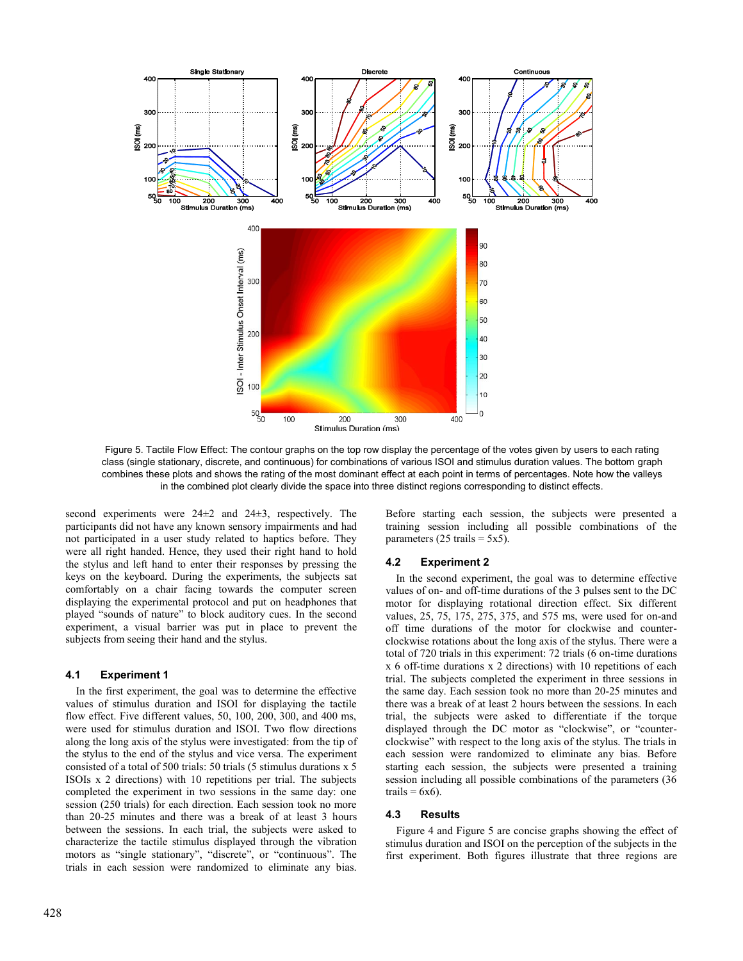

Figure 5. Tactile Flow Effect: The contour graphs on the top row display the percentage of the votes given by users to each rating class (single stationary, discrete, and continuous) for combinations of various ISOI and stimulus duration values. The bottom graph combines these plots and shows the rating of the most dominant effect at each point in terms of percentages. Note how the valleys in the combined plot clearly divide the space into three distinct regions corresponding to distinct effects.

second experiments were 24±2 and 24±3, respectively. The participants did not have any known sensory impairments and had not participated in a user study related to haptics before. They were all right handed. Hence, they used their right hand to hold the stylus and left hand to enter their responses by pressing the keys on the keyboard. During the experiments, the subjects sat comfortably on a chair facing towards the computer screen displaying the experimental protocol and put on headphones that played "sounds of nature" to block auditory cues. In the second experiment, a visual barrier was put in place to prevent the subjects from seeing their hand and the stylus.

# **4.1 Experiment 1**

In the first experiment, the goal was to determine the effective values of stimulus duration and ISOI for displaying the tactile flow effect. Five different values, 50, 100, 200, 300, and 400 ms, were used for stimulus duration and ISOI. Two flow directions along the long axis of the stylus were investigated: from the tip of the stylus to the end of the stylus and vice versa. The experiment consisted of a total of 500 trials: 50 trials (5 stimulus durations x 5 ISOIs x 2 directions) with 10 repetitions per trial. The subjects completed the experiment in two sessions in the same day: one session (250 trials) for each direction. Each session took no more than 20-25 minutes and there was a break of at least 3 hours between the sessions. In each trial, the subjects were asked to characterize the tactile stimulus displayed through the vibration motors as "single stationary", "discrete", or "continuous". The trials in each session were randomized to eliminate any bias.

Before starting each session, the subjects were presented a training session including all possible combinations of the parameters  $(25 \text{ trails} = 5 \text{x} 5)$ .

# **4.2 Experiment 2**

In the second experiment, the goal was to determine effective values of on- and off-time durations of the 3 pulses sent to the DC motor for displaying rotational direction effect. Six different values, 25, 75, 175, 275, 375, and 575 ms, were used for on-and off time durations of the motor for clockwise and counterclockwise rotations about the long axis of the stylus. There were a total of 720 trials in this experiment: 72 trials (6 on-time durations x 6 off-time durations x 2 directions) with 10 repetitions of each trial. The subjects completed the experiment in three sessions in the same day. Each session took no more than 20-25 minutes and there was a break of at least 2 hours between the sessions. In each trial, the subjects were asked to differentiate if the torque displayed through the DC motor as "clockwise", or "counterclockwise" with respect to the long axis of the stylus. The trials in each session were randomized to eliminate any bias. Before starting each session, the subjects were presented a training session including all possible combinations of the parameters (36 trails =  $6x6$ ).

### **4.3 Results**

Figure 4 and Figure 5 are concise graphs showing the effect of stimulus duration and ISOI on the perception of the subjects in the first experiment. Both figures illustrate that three regions are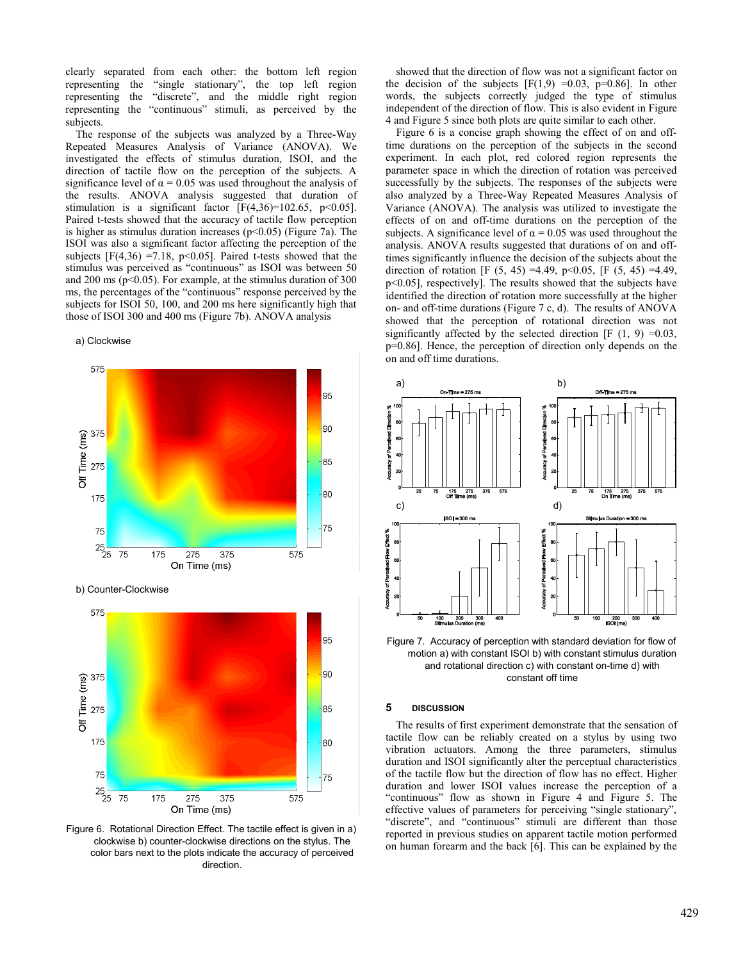clearly separated from each other: the bottom left region representing the "single stationary", the top left region representing the "discrete", and the middle right region representing the "continuous" stimuli, as perceived by the subjects.

The response of the subjects was analyzed by a Three-Way Repeated Measures Analysis of Variance (ANOVA). We investigated the effects of stimulus duration, ISOI, and the direction of tactile flow on the perception of the subjects. A significance level of  $\alpha = 0.05$  was used throughout the analysis of the results. ANOVA analysis suggested that duration of stimulation is a significant factor  $[F(4,36)=102.65, p<0.05]$ . Paired t-tests showed that the accuracy of tactile flow perception is higher as stimulus duration increases ( $p<0.05$ ) (Figure 7a). The ISOI was also a significant factor affecting the perception of the subjects  $[F(4,36) = 7.18, p<0.05]$ . Paired t-tests showed that the stimulus was perceived as "continuous" as ISOI was between 50 and 200 ms ( $p$ <0.05). For example, at the stimulus duration of 300 ms, the percentages of the "continuous" response perceived by the subjects for ISOI 50, 100, and 200 ms here significantly high that those of ISOI 300 and 400 ms (Figure 7b). ANOVA analysis

a) Clockwise



b) Counter-Clockwise



Figure 6. Rotational Direction Effect. The tactile effect is given in a) clockwise b) counter-clockwise directions on the stylus. The color bars next to the plots indicate the accuracy of perceived direction.

showed that the direction of flow was not a significant factor on the decision of the subjects  $[F(1,9) = 0.03, p=0.86]$ . In other words, the subjects correctly judged the type of stimulus independent of the direction of flow. This is also evident in Figure 4 and Figure 5 since both plots are quite similar to each other.

Figure 6 is a concise graph showing the effect of on and offtime durations on the perception of the subjects in the second experiment. In each plot, red colored region represents the parameter space in which the direction of rotation was perceived successfully by the subjects. The responses of the subjects were also analyzed by a Three-Way Repeated Measures Analysis of Variance (ANOVA). The analysis was utilized to investigate the effects of on and off-time durations on the perception of the subjects. A significance level of  $\alpha = 0.05$  was used throughout the analysis. ANOVA results suggested that durations of on and offtimes significantly influence the decision of the subjects about the direction of rotation [F  $(5, 45) = 4.49$ , p<0.05, [F  $(5, 45) = 4.49$ , p<0.05], respectively]. The results showed that the subjects have identified the direction of rotation more successfully at the higher on- and off-time durations (Figure 7 c, d). The results of ANOVA showed that the perception of rotational direction was not significantly affected by the selected direction [F  $(1, 9) = 0.03$ , p=0.86]. Hence, the perception of direction only depends on the on and off time durations.



Figure 7. Accuracy of perception with standard deviation for flow of motion a) with constant ISOI b) with constant stimulus duration and rotational direction c) with constant on-time d) with constant off time

# **5 DISCUSSION**

The results of first experiment demonstrate that the sensation of tactile flow can be reliably created on a stylus by using two vibration actuators. Among the three parameters, stimulus duration and ISOI significantly alter the perceptual characteristics of the tactile flow but the direction of flow has no effect. Higher duration and lower ISOI values increase the perception of a "continuous" flow as shown in Figure 4 and Figure 5. The effective values of parameters for perceiving "single stationary", "discrete", and "continuous" stimuli are different than those reported in previous studies on apparent tactile motion performed on human forearm and the back [6]. This can be explained by the